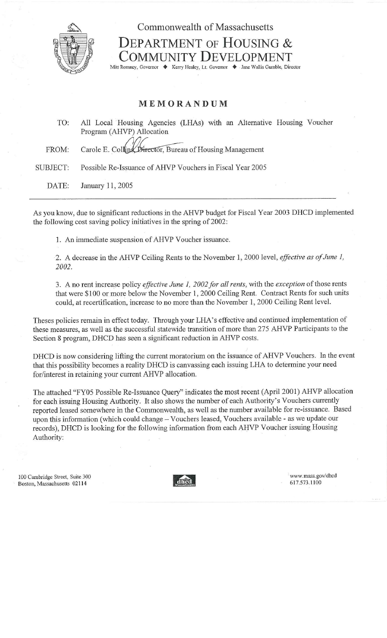

## DEPARTMENT OF HOUSING & OMMUNITY DEVELOPMENT

Commonwealth of Massachusetts

Mitt Romney, Governor ♦ Kerry Healey, Lt. Governor ♦ Jane Wallis Gumble, Director

## MEMORANDUM

TO: All Local Housing Agencies (LHAs) with an Alternative Housing Voucher Program (AHVP) Allocation FROM: Carole E. Collins, Director, Bureau of Housing Management SUBJECT: Possible Re-Issuance of AHVP Vouchers in Fiscal Year 2005 DATE: January 11, 2005

As you know, due to significant reductions in the AHVP budget for Fiscal Year 2003 DHCD implemented the following cost saving policy initiatives in the spring of 2002:

1. An immediate suspension of AHVP Voucher issuance.

2. A decrease in the AHVP Ceiling Rents to the November 1, 2000 level, *effective as of June 1, 2002.*

3. A no rent increase policy *effective June I, 2002 far all rents,* with the *exception* of those rents that were \$100 or more below the November 1, 2000 Ceiling Rent. Contract Rents for such units could, at recertification, increase to no more than the November 1, 2000 Ceiling Rent level.

Theses policies remain in effect today. Through your LHA's effective and continued implementation of these measures, as well as the successful statewide transition of more than 275 AHVP Participants to the Section 8 program, DHCD has seen a significant reduction in AHVP costs.

DHCD is now considering lifting the current moratorium on the issuance of AHVP Vouchers. In the event that this possibility becomes a reality DHCD is canvassing each issuing LHA to determine your need for/interest in retaining your current AHVP allocation.

The attached "FY05 Possible Re-Issuance Query" indicates the most recent (April 2001) AHVP allocation for each issuing Housing Authority. It also shows the number of each Authority's Vouchers currently reported leased somewhere in the Commonwealth, as well as the number available for re-issuance. Based upon this information (which could change — Vouchers leased, Vouchers available - as we update our records), DHCD is looking for the following information from each AHVP Voucher issuing Housing Authority:

100 Cambridge Street, Suite 300 Boston, Massachusetts 02114



www. mass. gov/dhcd 617.573.1100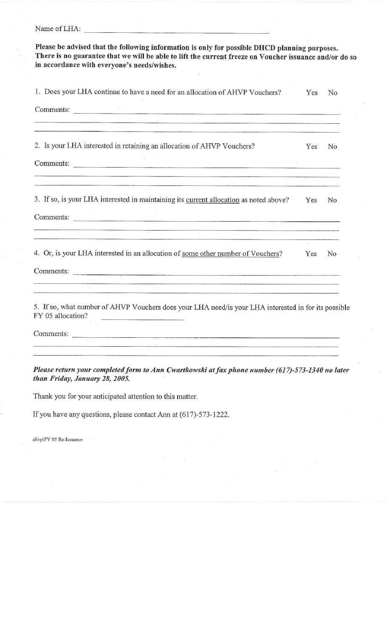Name of LHA:

|     | There is no guarantee that we will be able to lift the current freeze on Voucher issuance and/or do so                                                                                                                                                                                                                                                                                                                                                                                                                                                                                                                                                                                                                                                                                                                                                                                                                                                                                                 |
|-----|--------------------------------------------------------------------------------------------------------------------------------------------------------------------------------------------------------------------------------------------------------------------------------------------------------------------------------------------------------------------------------------------------------------------------------------------------------------------------------------------------------------------------------------------------------------------------------------------------------------------------------------------------------------------------------------------------------------------------------------------------------------------------------------------------------------------------------------------------------------------------------------------------------------------------------------------------------------------------------------------------------|
| Yes | No                                                                                                                                                                                                                                                                                                                                                                                                                                                                                                                                                                                                                                                                                                                                                                                                                                                                                                                                                                                                     |
|     |                                                                                                                                                                                                                                                                                                                                                                                                                                                                                                                                                                                                                                                                                                                                                                                                                                                                                                                                                                                                        |
| Yes | No                                                                                                                                                                                                                                                                                                                                                                                                                                                                                                                                                                                                                                                                                                                                                                                                                                                                                                                                                                                                     |
|     |                                                                                                                                                                                                                                                                                                                                                                                                                                                                                                                                                                                                                                                                                                                                                                                                                                                                                                                                                                                                        |
| Yes | N <sub>0</sub>                                                                                                                                                                                                                                                                                                                                                                                                                                                                                                                                                                                                                                                                                                                                                                                                                                                                                                                                                                                         |
|     |                                                                                                                                                                                                                                                                                                                                                                                                                                                                                                                                                                                                                                                                                                                                                                                                                                                                                                                                                                                                        |
| Yes | N <sub>o</sub>                                                                                                                                                                                                                                                                                                                                                                                                                                                                                                                                                                                                                                                                                                                                                                                                                                                                                                                                                                                         |
|     |                                                                                                                                                                                                                                                                                                                                                                                                                                                                                                                                                                                                                                                                                                                                                                                                                                                                                                                                                                                                        |
|     | 5. If so, what number of AHVP Vouchers does your LHA need/is your LHA interested in for its possible                                                                                                                                                                                                                                                                                                                                                                                                                                                                                                                                                                                                                                                                                                                                                                                                                                                                                                   |
|     |                                                                                                                                                                                                                                                                                                                                                                                                                                                                                                                                                                                                                                                                                                                                                                                                                                                                                                                                                                                                        |
|     | Please be advised that the following information is only for possible DHCD planning purposes.<br>Comments:<br>$\begin{array}{c} \begin{array}{c} \mathcal{U} \\ \mathcal{U} \end{array} & \begin{array}{c} \mathcal{U} \\ \mathcal{U} \end{array} & \begin{array}{c} \mathcal{U} \\ \mathcal{U} \end{array} & \begin{array}{c} \mathcal{U} \\ \mathcal{U} \end{array} & \begin{array}{c} \mathcal{U} \\ \mathcal{U} \end{array} & \begin{array}{c} \mathcal{U} \\ \mathcal{U} \end{array} & \begin{array}{c} \mathcal{U} \\ \mathcal{U} \end{array} & \begin{array}{c} \mathcal{U} \\ \mathcal{U} \end{array} & \begin{array}{$<br>Comments:<br><u> 1989 - 1989 - 1989 - 1989 - 1989 - 1989 - 1989 - 1989 - 1989 - 1989 - 1989 - 1989 - 1989 - 1989 - 1989 - 198</u><br>a a a component contra construction of the construction of the construction of the construction of the construction of the construction of the construction of the construction of the construction of the construction of the |

*Please return your completed form to Ann Cwartkowski at fax phone number (617)-573-1340 no later than Friday, January 28, 2005.*

Thank you for your anticipated attention to this matter.

If you have any questions, please contact Ann at (617)-573-1222.

ahvp\FY 05 Re-Issuance